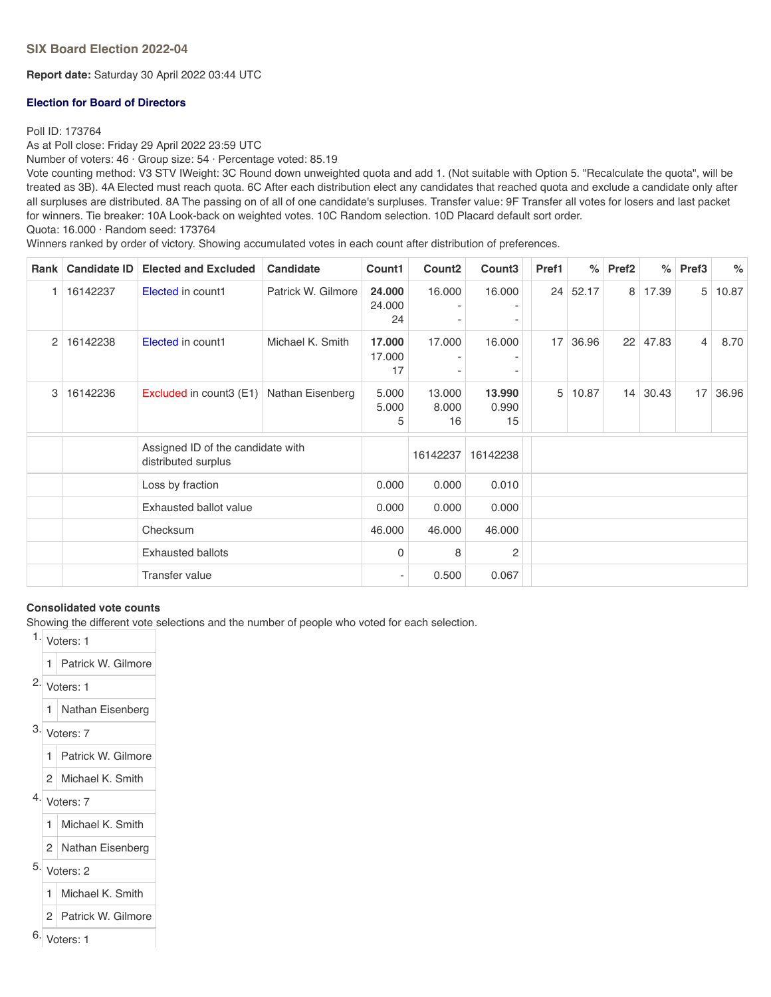**Report date:** Saturday 30 April 2022 03:44 UTC

## **Election for Board of Directors**

## Poll ID: 173764

As at Poll close: Friday 29 April 2022 23:59 UTC

Number of voters: 46 · Group size: 54 · Percentage voted: 85.19

Vote counting method: V3 STV IWeight: 3C Round down unweighted quota and add 1. (Not suitable with Option 5. "Recalculate the quota", will be treated as 3B). 4A Elected must reach quota. 6C After each distribution elect any candidates that reached quota and exclude a candidate only after all surpluses are distributed. 8A The passing on of all of one candidate's surpluses. Transfer value: 9F Transfer all votes for losers and last packet for winners. Tie breaker: 10A Look-back on weighted votes. 10C Random selection. 10D Placard default sort order. Quota: 16.000 · Random seed: 173764

Winners ranked by order of victory. Showing accumulated votes in each count after distribution of preferences.

| Rank | <b>Candidate ID</b> | <b>Elected and Excluded</b>                              | <b>Candidate</b>   | Count1                 | Count <sub>2</sub>    | Count <sub>3</sub>    | Pref1 | $\%$     | Pref <sub>2</sub> | $\%$  | Pref <sub>3</sub> | $\%$  |
|------|---------------------|----------------------------------------------------------|--------------------|------------------------|-----------------------|-----------------------|-------|----------|-------------------|-------|-------------------|-------|
|      | 16142237            | Elected in count1                                        | Patrick W. Gilmore | 24.000<br>24.000<br>24 | 16.000                | 16.000                |       | 24 52.17 | 8                 | 17.39 | 5                 | 10.87 |
| 2    | 16142238            | Elected in count1                                        | Michael K. Smith   | 17.000<br>17.000<br>17 | 17.000                | 16.000                | 17    | 36.96    | 22                | 47.83 | $\overline{4}$    | 8.70  |
| 3    | 16142236            | Excluded in count3 (E1)                                  | Nathan Eisenberg   | 5.000<br>5.000<br>5    | 13.000<br>8.000<br>16 | 13.990<br>0.990<br>15 | 5     | 10.87    | 14                | 30.43 | 17                | 36.96 |
|      |                     | Assigned ID of the candidate with<br>distributed surplus |                    |                        | 16142237              | 16142238              |       |          |                   |       |                   |       |
|      |                     | Loss by fraction                                         |                    | 0.000                  | 0.000                 | 0.010                 |       |          |                   |       |                   |       |
|      |                     | Exhausted ballot value                                   |                    | 0.000                  | 0.000                 | 0.000                 |       |          |                   |       |                   |       |
|      |                     | Checksum                                                 |                    | 46.000                 | 46.000                | 46.000                |       |          |                   |       |                   |       |
|      |                     | <b>Exhausted ballots</b>                                 |                    | $\mathbf{0}$           | 8                     | 2                     |       |          |                   |       |                   |       |
|      |                     | <b>Transfer value</b>                                    |                    |                        | 0.500                 | 0.067                 |       |          |                   |       |                   |       |

#### **Consolidated vote counts**

Showing the different vote selections and the number of people who voted for each selection.

1. Voters: 1

- 1 Patrick W. Gilmore
- $2.$  Voters: 1
	- 1 Nathan Eisenberg
- 3. Voters: 7
	- 1 Patrick W. Gilmore
	- 2 Michael K. Smith
- 4. Voters: 7
	- 1 Michael K. Smith
	- 2 Nathan Eisenberg
- 5. Voters: 2
	- 1 Michael K. Smith
- 2 Patrick W. Gilmore